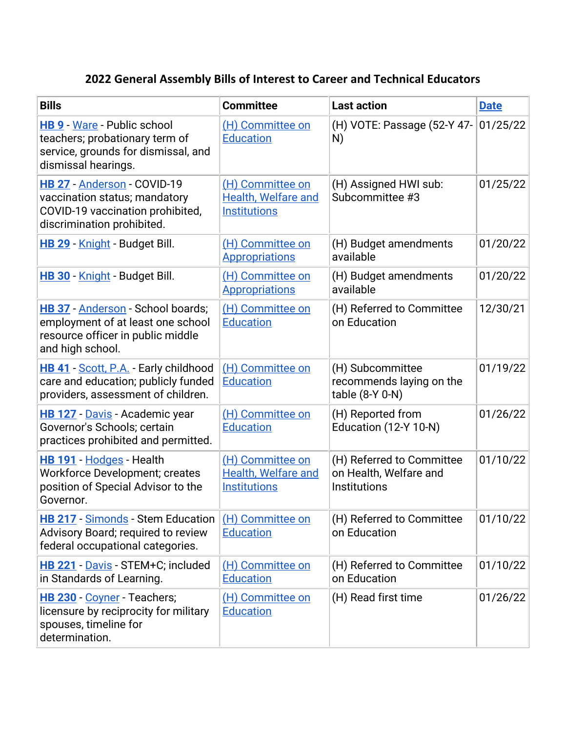## **2022 General Assembly Bills of Interest to Career and Technical Educators**

| <b>Bills</b>                                                                                                                    | <b>Committee</b>                                                      | <b>Last action</b>                                                         | <b>Date</b> |
|---------------------------------------------------------------------------------------------------------------------------------|-----------------------------------------------------------------------|----------------------------------------------------------------------------|-------------|
| HB 9 - Ware - Public school<br>teachers; probationary term of<br>service, grounds for dismissal, and<br>dismissal hearings.     | (H) Committee on<br><b>Education</b>                                  | (H) VOTE: Passage (52-Y 47-<br>N)                                          | 01/25/22    |
| HB 27 - Anderson - COVID-19<br>vaccination status; mandatory<br>COVID-19 vaccination prohibited,<br>discrimination prohibited.  | (H) Committee on<br><b>Health, Welfare and</b><br><b>Institutions</b> | (H) Assigned HWI sub:<br>Subcommittee #3                                   | 01/25/22    |
| HB 29 - Knight - Budget Bill.                                                                                                   | (H) Committee on<br><b>Appropriations</b>                             | (H) Budget amendments<br>available                                         | 01/20/22    |
| HB 30 - Knight - Budget Bill.                                                                                                   | (H) Committee on<br><b>Appropriations</b>                             | (H) Budget amendments<br>available                                         | 01/20/22    |
| HB 37 - Anderson - School boards;<br>employment of at least one school<br>resource officer in public middle<br>and high school. | (H) Committee on<br><b>Education</b>                                  | (H) Referred to Committee<br>on Education                                  | 12/30/21    |
| <b>HB 41</b> - Scott, P.A. - Early childhood<br>care and education; publicly funded<br>providers, assessment of children.       | (H) Committee on<br><b>Education</b>                                  | (H) Subcommittee<br>recommends laying on the<br>table (8-Y 0-N)            | 01/19/22    |
| HB 127 Davis - Academic year<br>Governor's Schools; certain<br>practices prohibited and permitted.                              | (H) Committee on<br><b>Education</b>                                  | (H) Reported from<br>Education (12-Y 10-N)                                 | 01/26/22    |
| <b>HB 191</b> Hodges Health<br><b>Workforce Development; creates</b><br>position of Special Advisor to the<br>Governor.         | (H) Committee on<br><b>Health, Welfare and</b><br><b>Institutions</b> | (H) Referred to Committee<br>on Health, Welfare and<br><b>Institutions</b> | 01/10/22    |
| HB 217 - Simonds - Stem Education<br>Advisory Board; required to review<br>federal occupational categories.                     | (H) Committee on<br><b>Education</b>                                  | (H) Referred to Committee<br>on Education                                  | 01/10/22    |
| HB 221 - Davis - STEM+C; included<br>in Standards of Learning.                                                                  | (H) Committee on<br><b>Education</b>                                  | (H) Referred to Committee<br>on Education                                  | 01/10/22    |
| HB 230 - Coyner - Teachers;<br>licensure by reciprocity for military<br>spouses, timeline for<br>determination.                 | <u>(H) Committee on</u><br><b>Education</b>                           | (H) Read first time                                                        | 01/26/22    |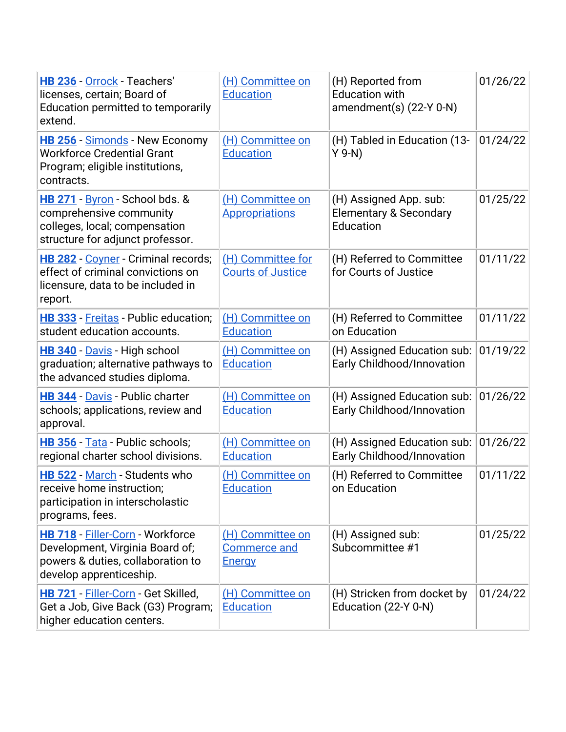| HB 236 - Orrock - Teachers'<br>licenses, certain; Board of<br>Education permitted to temporarily<br>extend.                         | (H) Committee on<br><b>Education</b>                     | (H) Reported from<br><b>Education with</b><br>amendment(s) $(22-Y 0-N)$  | 01/26/22 |
|-------------------------------------------------------------------------------------------------------------------------------------|----------------------------------------------------------|--------------------------------------------------------------------------|----------|
| HB 256 - Simonds - New Economy<br><b>Workforce Credential Grant</b><br>Program; eligible institutions,<br>contracts.                | (H) Committee on<br><b>Education</b>                     | (H) Tabled in Education (13-<br>$Y$ 9-N)                                 | 01/24/22 |
| HB 271 - Byron - School bds. &<br>comprehensive community<br>colleges, local; compensation<br>structure for adjunct professor.      | (H) Committee on<br><b>Appropriations</b>                | (H) Assigned App. sub:<br><b>Elementary &amp; Secondary</b><br>Education | 01/25/22 |
| HB 282 - Coyner - Criminal records;<br>effect of criminal convictions on<br>licensure, data to be included in<br>report.            | (H) Committee for<br><b>Courts of Justice</b>            | (H) Referred to Committee<br>for Courts of Justice                       | 01/11/22 |
| HB 333 - Freitas - Public education;<br>student education accounts.                                                                 | (H) Committee on<br><b>Education</b>                     | (H) Referred to Committee<br>on Education                                | 01/11/22 |
| HB 340 - Davis - High school<br>graduation; alternative pathways to<br>the advanced studies diploma.                                | (H) Committee on<br><b>Education</b>                     | (H) Assigned Education sub:<br>Early Childhood/Innovation                | 01/19/22 |
| HB 344 - Davis - Public charter<br>schools; applications, review and<br>approval.                                                   | (H) Committee on<br>Education                            | (H) Assigned Education sub:<br>Early Childhood/Innovation                | 01/26/22 |
| HB 356 Tata - Public schools;<br>regional charter school divisions.                                                                 | (H) Committee on<br><b>Education</b>                     | (H) Assigned Education sub:<br>Early Childhood/Innovation                | 01/26/22 |
| HB 522 - March - Students who<br>receive home instruction;<br>participation in interscholastic<br>programs, fees.                   | (H) Committee on<br>Education                            | (H) Referred to Committee<br>on Education                                | 01/11/22 |
| HB 718 - Filler-Corn - Workforce<br>Development, Virginia Board of;<br>powers & duties, collaboration to<br>develop apprenticeship. | (H) Committee on<br><b>Commerce and</b><br><b>Energy</b> | (H) Assigned sub:<br>Subcommittee #1                                     | 01/25/22 |
| HB 721 - Filler-Corn - Get Skilled,<br>Get a Job, Give Back (G3) Program;<br>higher education centers.                              | (H) Committee on<br><b>Education</b>                     | (H) Stricken from docket by<br>Education (22-Y 0-N)                      | 01/24/22 |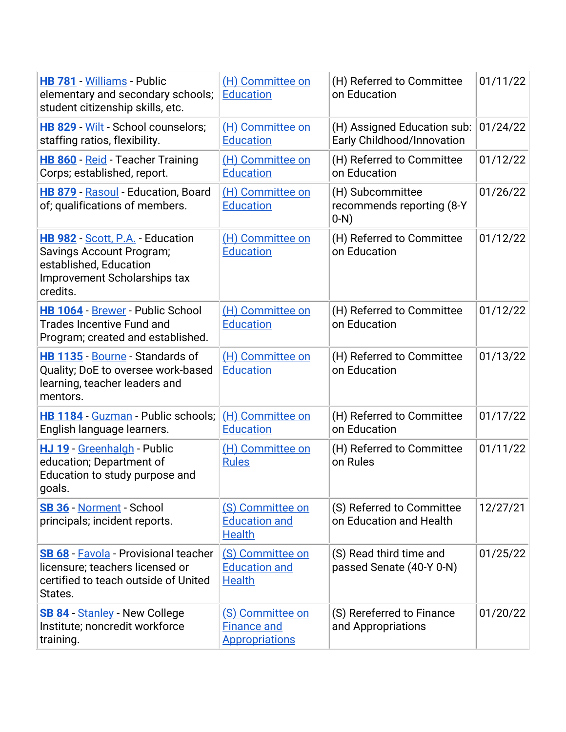| <b>HB 781</b> Williams - Public<br>elementary and secondary schools;<br>student citizenship skills, etc.                           | (H) Committee on<br><b>Education</b>                            | (H) Referred to Committee<br>on Education                 | 01/11/22 |
|------------------------------------------------------------------------------------------------------------------------------------|-----------------------------------------------------------------|-----------------------------------------------------------|----------|
| HB 829 - Wilt - School counselors;<br>staffing ratios, flexibility.                                                                | (H) Committee on<br><b>Education</b>                            | (H) Assigned Education sub:<br>Early Childhood/Innovation | 01/24/22 |
| HB 860 - Reid - Teacher Training<br>Corps; established, report.                                                                    | (H) Committee on<br><b>Education</b>                            | (H) Referred to Committee<br>on Education                 | 01/12/22 |
| HB 879 - Rasoul - Education, Board<br>of; qualifications of members.                                                               | (H) Committee on<br><b>Education</b>                            | (H) Subcommittee<br>recommends reporting (8-Y<br>$0-N)$   | 01/26/22 |
| HB 982 - Scott, P.A. - Education<br>Savings Account Program;<br>established, Education<br>Improvement Scholarships tax<br>credits. | (H) Committee on<br><b>Education</b>                            | (H) Referred to Committee<br>on Education                 | 01/12/22 |
| HB 1064 - Brewer - Public School<br><b>Trades Incentive Fund and</b><br>Program; created and established.                          | (H) Committee on<br><b>Education</b>                            | (H) Referred to Committee<br>on Education                 | 01/12/22 |
| HB 1135 - Bourne - Standards of<br>Quality; DoE to oversee work-based<br>learning, teacher leaders and<br>mentors.                 | (H) Committee on<br><b>Education</b>                            | (H) Referred to Committee<br>on Education                 | 01/13/22 |
| HB 1184 - Guzman - Public schools;<br>English language learners.                                                                   | (H) Committee on<br><b>Education</b>                            | (H) Referred to Committee<br>on Education                 | 01/17/22 |
| HJ 19 - Greenhalgh - Public<br>education; Department of<br>Education to study purpose and<br>goals.                                | (H) Committee on<br><b>Rules</b>                                | (H) Referred to Committee<br>on Rules                     | 01/11/22 |
| <b>SB 36 - Norment - School</b><br>principals; incident reports.                                                                   | (S) Committee on<br><b>Education and</b><br><b>Health</b>       | (S) Referred to Committee<br>on Education and Health      | 12/27/21 |
| SB 68 - Favola - Provisional teacher<br>licensure; teachers licensed or<br>certified to teach outside of United<br>States.         | (S) Committee on<br><b>Education and</b><br><b>Health</b>       | (S) Read third time and<br>passed Senate (40-Y 0-N)       | 01/25/22 |
| <b>SB 84</b> - Stanley - New College<br>Institute; noncredit workforce<br>training.                                                | (S) Committee on<br><b>Finance and</b><br><b>Appropriations</b> | (S) Rereferred to Finance<br>and Appropriations           | 01/20/22 |